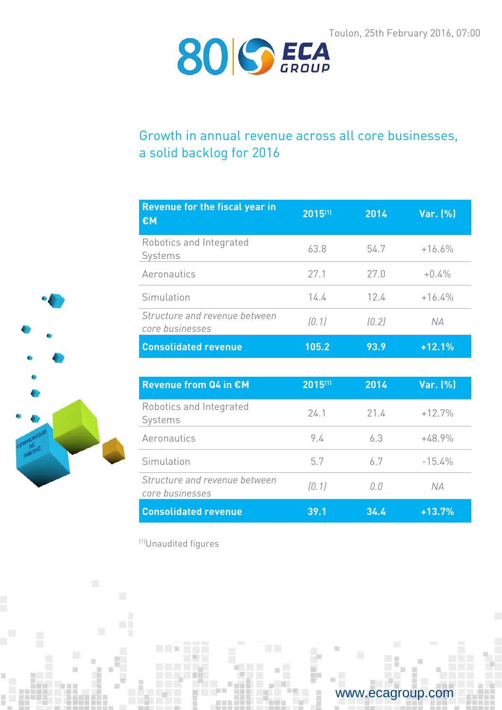

# Growth in annual revenue across all core businesses, a solid backlog for 2016

| <b>Revenue for the fiscal year in</b><br>€M      | 2015(1) | 2014  | Var. (%) |
|--------------------------------------------------|---------|-------|----------|
| Robotics and Integrated<br>Systems               | 63.8    | 54.7  | $+16.6%$ |
| Aeronautics                                      | 27.1    | 27.0  | $+0.4%$  |
| Simulation                                       | 14.4    | 124   | $+16.4%$ |
| Structure and revenue between<br>core businesses | (0, 1)  | (0.2) | N A      |
| <b>Consolidated revenue</b>                      | 105.2   | 93.9  | $+12.1%$ |

| <b>Revenue from Q4 in €M</b>                     | 2015(1) | 2014 | Var. (%) |
|--------------------------------------------------|---------|------|----------|
| Robotics and Integrated<br>Systems               | 24.1    | 21.4 | $+12.7%$ |
| Aeronautics                                      | 9.4     | 63   | $+48.9%$ |
| Simulation                                       | 5.7     | 67   | $-15.4%$ |
| Structure and revenue between<br>core businesses | [0, 1]  | N N  | N A      |
| <b>Consolidated revenue</b>                      | 39.1    | 34.4 | $+13.7%$ |

(1)Unaudited figures

**The State** 



www.ecagroup.com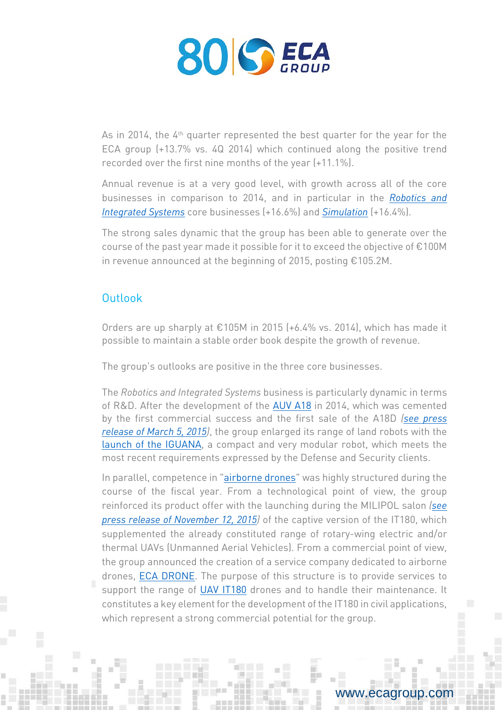

As in 2014, the 4<sup>th</sup> quarter represented the best quarter for the year for the ECA group (+13.7% vs. 4Q 2014) which continued along the positive trend recorded over the first nine months of the year (+11.1%).

Annual revenue is at a very good level, with growth across all of the core businesses in comparison to 2014, and in particular in the *[Robotics and](http://www.ecagroup.com/en/robotic-and-integrated-systems)  [Integrated Systems](http://www.ecagroup.com/en/robotic-and-integrated-systems)* core businesses (+16.6%) and *[Simulation](http://www.ecagroup.com/en/training-simulation)* (+16.4%).

The strong sales dynamic that the group has been able to generate over the course of the past year made it possible for it to exceed the objective of €100M in revenue announced at the beginning of 2015, posting €105.2M.

## Outlook

Orders are up sharply at €105M in 2015 (+6.4% vs. 2014), which has made it possible to maintain a stable order book despite the growth of revenue.

The group's outlooks are positive in the three core businesses.

The *Robotics and Integrated Systems* business is particularly dynamic in terms of R&D. After the development of the [AUV A18](http://www.ecagroup.com/en/solutions/a18d) in 2014, which was cemented by the first commercial success and the first sale of the A18D *[\(see press](http://www.ecagroup.com/en/financial/first-commercial-success-a18-underwater-robot)  [release of March 5, 2015\)](http://www.ecagroup.com/en/financial/first-commercial-success-a18-underwater-robot)*, the group enlarged its range of land robots with the [launch of the IGUANA,](http://www.ecagroup.com/en/business/iguana-coming-eca-group-launches-new-generation-ugvs-homeland-security) a compact and very modular robot, which meets the most recent requirements expressed by the Defense and Security clients.

In parallel, competence in ["airborne](http://www.ecagroup.com/en/find-your-eca-solutions/uav) drones" was highly structured during the course of the fiscal year. From a technological point of view, the group reinforced its product offer with the launching during the MILIPOL salon *[\(see](http://www.ecagroup.com/en/financial/eca-group-presents-several-innovations-fields-robotics-and-simulation-milipol-exhibition)  [press release of November 12, 2015\)](http://www.ecagroup.com/en/financial/eca-group-presents-several-innovations-fields-robotics-and-simulation-milipol-exhibition)* of the captive version of the IT180, which supplemented the already constituted range of rotary-wing electric and/or thermal UAVs (Unmanned Aerial Vehicles). From a commercial point of view, the group announced the creation of a service company dedicated to airborne drones, [ECA DRONE.](http://www.ecagroup.com/en/financial/eca-group-announces-creation-service-company-dedicated-uavs-eca-drone) The purpose of this structure is to provide services to support the range of [UAV IT180](http://www.ecagroup.com/en/find-your-eca-solutions/uav) drones and to handle their maintenance. It constitutes a key element for the development of the IT180 in civil applications, which represent a strong commercial potential for the group.

## w.ecagroup.com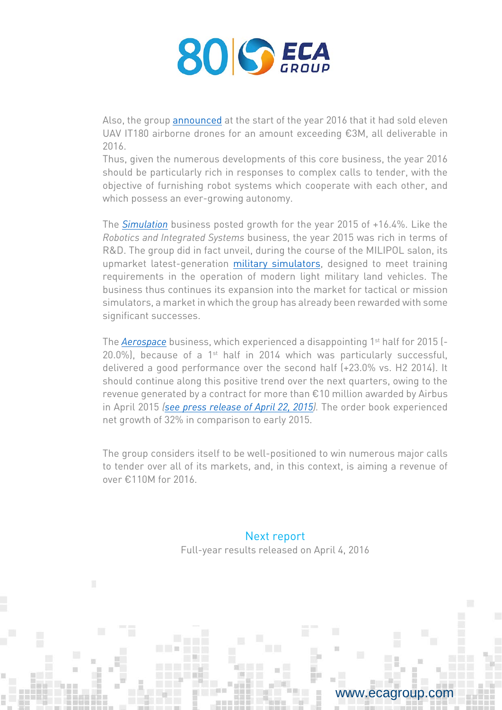

Also, the group [announced](http://www.ecagroup.com/en/financial/uav-it180-significant-growth-sales-airborne-drones-beginning-year) at the start of the year 2016 that it had sold eleven UAV IT180 airborne drones for an amount exceeding €3M, all deliverable in 2016.

Thus, given the numerous developments of this core business, the year 2016 should be particularly rich in responses to complex calls to tender, with the objective of furnishing robot systems which cooperate with each other, and which possess an ever-growing autonomy.

The *[Simulation](http://www.ecagroup.com/en/training-simulation)* business posted growth for the year 2015 of +16.4%. Like the *Robotics and Integrated Systems* business, the year 2015 was rich in terms of R&D. The group did in fact unveil, during the course of the MILIPOL salon, its upmarket latest-generation [military simulators,](http://www.ecagroup.com/en/solutions/simulation-training-systems-military-vehicle-driving) designed to meet training requirements in the operation of modern light military land vehicles. The business thus continues its expansion into the market for tactical or mission simulators, a market in which the group has already been rewarded with some significant successes.

The *[Aerospace](http://www.ecagroup.com/en/solutions/simulation-training-systems-military-vehicle-driving)* business, which experienced a disappointing 1st half for 2015 (- 20.0%), because of a 1st half in 2014 which was particularly successful, delivered a good performance over the second half (+23.0% vs. H2 2014). It should continue along this positive trend over the next quarters, owing to the revenue generated by a contract for more than €10 million awarded by Airbus in April 2015 *[\(see press release of April 22, 2015\)](http://www.ecagroup.com/en/financial/eca-groups-aerospace-division-won-major-contract-over-eu10-million).* The order book experienced net growth of 32% in comparison to early 2015.

The group considers itself to be well-positioned to win numerous major calls to tender over all of its markets, and, in this context, is aiming a revenue of over €110M for 2016.

### Next report

Full-year results released on April 4, 2016

www.ecagroup.com